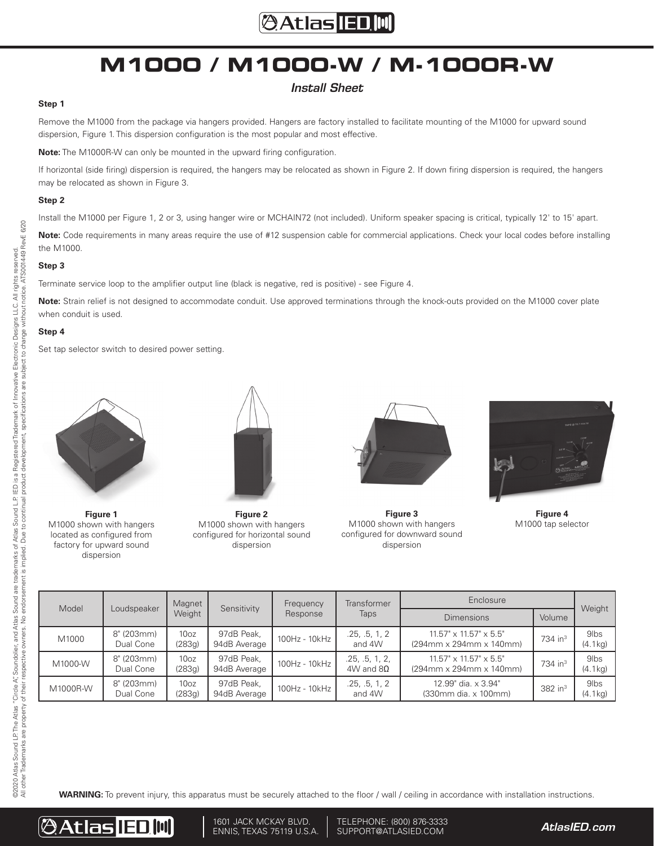### **@Atlas IED.M**

## **M1000 / M1000-W / M-1000R-W**

### *Install Sheet*

#### **Step 1**

Remove the M1000 from the package via hangers provided. Hangers are factory installed to facilitate mounting of the M1000 for upward sound dispersion, Figure 1. This dispersion configuration is the most popular and most effective.

**Note:** The M1000R-W can only be mounted in the upward firing configuration.

If horizontal (side firing) dispersion is required, the hangers may be relocated as shown in Figure 2. If down firing dispersion is required, the hangers may be relocated as shown in Figure 3.

#### **Step 2**

Install the M1000 per Figure 1, 2 or 3, using hanger wire or MCHAIN72 (not included). Uniform speaker spacing is critical, typically 12' to 15' apart.

**Note:** Code requirements in many areas require the use of #12 suspension cable for commercial applications. Check your local codes before installing the M1000.

#### **Step 3**

Terminate service loop to the amplifier output line (black is negative, red is positive) - see Figure 4.

**Note:** Strain relief is not designed to accommodate conduit. Use approved terminations through the knock-outs provided on the M1000 cover plate when conduit is used.

#### **Step 4**

Set tap selector switch to desired power setting.



**Figure 1** M1000 shown with hangers located as configured from factory for upward sound dispersion



**Figure 2** M1000 shown with hangers configured for horizontal sound dispersion



**Figure 3** M1000 shown with hangers configured for downward sound dispersion



**Figure 4** M1000 tap selector

| Model    | Loudspeaker             | Magnet<br>Weight           | Sensitivity                | Frequency<br>Response | Transformer<br>Taps                  | Enclosure                                                                                         |                       | Weight                      |
|----------|-------------------------|----------------------------|----------------------------|-----------------------|--------------------------------------|---------------------------------------------------------------------------------------------------|-----------------------|-----------------------------|
|          |                         |                            |                            |                       |                                      | <b>Dimensions</b>                                                                                 | Volume                |                             |
| M1000    | 8" (203mm)<br>Dual Cone | 10 <sub>oz</sub><br>(283g) | 97dB Peak,<br>94dB Average | 100Hz - 10kHz         | .25, .5, 1, 2<br>and 4W              | $11.57" \times 11.57" \times 5.5"$<br>$(294 \text{mm} \times 294 \text{mm} \times 140 \text{mm})$ | $734$ in <sup>3</sup> | 9 <sub>lbs</sub><br>(4.1kg) |
| M1000-W  | 8" (203mm)<br>Dual Cone | 10 <sub>oz</sub><br>(283q) | 97dB Peak.<br>94dB Average | 100Hz - 10kHz         | .25, .5, 1, 2,<br>$4W$ and $8\Omega$ | $11.57" \times 11.57" \times 5.5"$<br>$(294 \text{mm} \times 294 \text{mm} \times 140 \text{mm})$ | $734$ in <sup>3</sup> | 9 <sub>lbs</sub><br>(4.1kg) |
| M1000R-W | 8" (203mm)<br>Dual Cone | 10 <sub>oz</sub><br>(283g) | 97dB Peak,<br>94dB Average | 100Hz - 10kHz         | .25, .5, 1, 2<br>and 4W              | 12.99" dia. x 3.94"<br>(330mm dia. x 100mm)                                                       | $382$ in <sup>3</sup> | 9 <sub>lbs</sub><br>(4.1kg) |

**WARNING:** To prevent injury, this apparatus must be securely attached to the floor / wall / ceiling in accordance with installation instructions.



1601 JACK MCKAY BLVD. ENNIS, TEXAS 75119 U.S.A. *AtlasIED.com* TELEPHONE: (800) 876-3333 SUPPORT@ATLASIED.COM